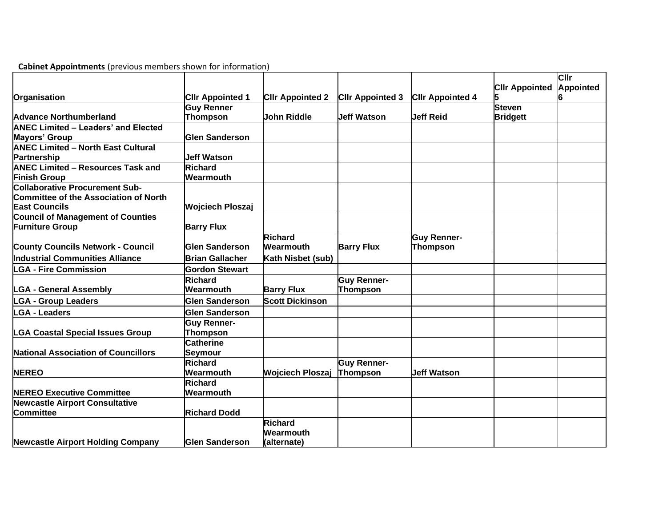| Organisation                                                                                           | <b>CIIr Appointed 1</b>               | <b>CIIr Appointed 2</b>                    | <b>CIIr Appointed 3</b>               | <b>CIIr Appointed 4</b> | <b>CIIr Appointed</b> | Cllr<br>Appointed |
|--------------------------------------------------------------------------------------------------------|---------------------------------------|--------------------------------------------|---------------------------------------|-------------------------|-----------------------|-------------------|
|                                                                                                        | <b>Guy Renner</b>                     |                                            |                                       |                         | <b>Steven</b>         |                   |
| <b>Advance Northumberland</b>                                                                          | Thompson                              | <b>John Riddle</b>                         | <b>Jeff Watson</b>                    | <b>Jeff Reid</b>        | <b>Bridgett</b>       |                   |
| <b>ANEC Limited - Leaders' and Elected</b>                                                             |                                       |                                            |                                       |                         |                       |                   |
| Mayors' Group                                                                                          | <b>Glen Sanderson</b>                 |                                            |                                       |                         |                       |                   |
| <b>ANEC Limited - North East Cultural</b>                                                              |                                       |                                            |                                       |                         |                       |                   |
| Partnership                                                                                            | <b>Jeff Watson</b>                    |                                            |                                       |                         |                       |                   |
| <b>ANEC Limited - Resources Task and</b>                                                               | <b>Richard</b>                        |                                            |                                       |                         |                       |                   |
| <b>Finish Group</b>                                                                                    | Wearmouth                             |                                            |                                       |                         |                       |                   |
| <b>Collaborative Procurement Sub-</b><br>Committee of the Association of North<br><b>East Councils</b> | <b>Wojciech Ploszaj</b>               |                                            |                                       |                         |                       |                   |
| <b>Council of Management of Counties</b>                                                               |                                       |                                            |                                       |                         |                       |                   |
| <b>Furniture Group</b>                                                                                 | <b>Barry Flux</b>                     |                                            |                                       |                         |                       |                   |
|                                                                                                        |                                       | <b>Richard</b>                             |                                       | <b>Guy Renner-</b>      |                       |                   |
| <b>County Councils Network - Council</b>                                                               | <b>Glen Sanderson</b>                 | Wearmouth                                  | <b>Barry Flux</b>                     | <b>Thompson</b>         |                       |                   |
| Industrial Communities Alliance                                                                        | <b>Brian Gallacher</b>                | Kath Nisbet (sub)                          |                                       |                         |                       |                   |
| <b>LGA - Fire Commission</b>                                                                           | <b>Gordon Stewart</b>                 |                                            |                                       |                         |                       |                   |
| <b>LGA - General Assembly</b>                                                                          | <b>Richard</b><br>Wearmouth           | <b>Barry Flux</b>                          | <b>Guy Renner-</b><br><b>Thompson</b> |                         |                       |                   |
| <b>LGA - Group Leaders</b>                                                                             | <b>Glen Sanderson</b>                 | <b>Scott Dickinson</b>                     |                                       |                         |                       |                   |
| <b>LGA - Leaders</b>                                                                                   | <b>Glen Sanderson</b>                 |                                            |                                       |                         |                       |                   |
| <b>LGA Coastal Special Issues Group</b>                                                                | <b>Guy Renner-</b><br><b>Thompson</b> |                                            |                                       |                         |                       |                   |
| <b>National Association of Councillors</b>                                                             | <b>Catherine</b><br><b>Seymour</b>    |                                            |                                       |                         |                       |                   |
| <b>NEREO</b>                                                                                           | Richard<br>Wearmouth                  | <b>Wojciech Ploszaj</b>                    | <b>Guy Renner-</b><br>Thompson        | <b>Jeff Watson</b>      |                       |                   |
| <b>NEREO Executive Committee</b>                                                                       | <b>Richard</b><br>Wearmouth           |                                            |                                       |                         |                       |                   |
| <b>Newcastle Airport Consultative</b>                                                                  |                                       |                                            |                                       |                         |                       |                   |
| <b>Committee</b>                                                                                       | <b>Richard Dodd</b>                   |                                            |                                       |                         |                       |                   |
| <b>Newcastle Airport Holding Company</b>                                                               | <b>Glen Sanderson</b>                 | <b>Richard</b><br>Wearmouth<br>(alternate) |                                       |                         |                       |                   |

**Cabinet Appointments** (previous members shown for information)